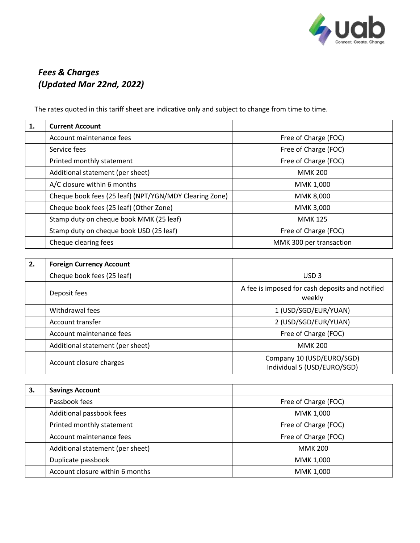

## *Fees & Charges (Updated Mar 22nd, 2022)*

The rates quoted in this tariff sheet are indicative only and subject to change from time to time.

| 1. | <b>Current Account</b>                                 |                         |
|----|--------------------------------------------------------|-------------------------|
|    | Account maintenance fees                               | Free of Charge (FOC)    |
|    | Service fees                                           | Free of Charge (FOC)    |
|    | Printed monthly statement                              | Free of Charge (FOC)    |
|    | Additional statement (per sheet)                       | <b>MMK 200</b>          |
|    | A/C closure within 6 months                            | MMK 1,000               |
|    | Cheque book fees (25 leaf) (NPT/YGN/MDY Clearing Zone) | MMK 8,000               |
|    | Cheque book fees (25 leaf) (Other Zone)                | MMK 3.000               |
|    | Stamp duty on cheque book MMK (25 leaf)                | <b>MMK 125</b>          |
|    | Stamp duty on cheque book USD (25 leaf)                | Free of Charge (FOC)    |
|    | Cheque clearing fees                                   | MMK 300 per transaction |

| 2. | <b>Foreign Currency Account</b>  |                                                           |
|----|----------------------------------|-----------------------------------------------------------|
|    | Cheque book fees (25 leaf)       | USD <sub>3</sub>                                          |
|    | Deposit fees                     | A fee is imposed for cash deposits and notified<br>weekly |
|    | Withdrawal fees                  | 1 (USD/SGD/EUR/YUAN)                                      |
|    | Account transfer                 | 2 (USD/SGD/EUR/YUAN)                                      |
|    | Account maintenance fees         | Free of Charge (FOC)                                      |
|    | Additional statement (per sheet) | <b>MMK 200</b>                                            |
|    | Account closure charges          | Company 10 (USD/EURO/SGD)<br>Individual 5 (USD/EURO/SGD)  |

| 3. | <b>Savings Account</b>           |                      |
|----|----------------------------------|----------------------|
|    | Passbook fees                    | Free of Charge (FOC) |
|    | Additional passbook fees         | MMK 1,000            |
|    | Printed monthly statement        | Free of Charge (FOC) |
|    | Account maintenance fees         | Free of Charge (FOC) |
|    | Additional statement (per sheet) | <b>MMK 200</b>       |
|    | Duplicate passbook               | MMK 1,000            |
|    | Account closure within 6 months  | MMK 1,000            |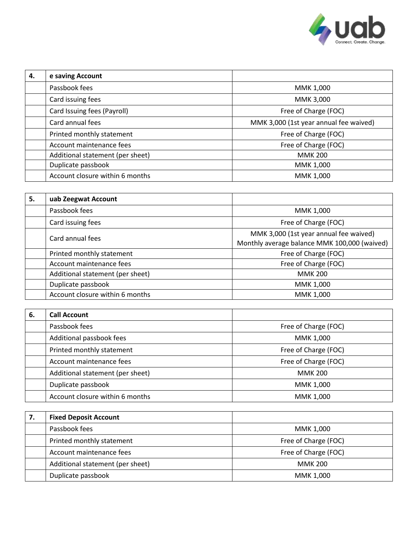

| 4. | e saving Account                 |                                        |
|----|----------------------------------|----------------------------------------|
|    | Passbook fees                    | MMK 1,000                              |
|    | Card issuing fees                | MMK 3,000                              |
|    | Card Issuing fees (Payroll)      | Free of Charge (FOC)                   |
|    | Card annual fees                 | MMK 3,000 (1st year annual fee waived) |
|    | Printed monthly statement        | Free of Charge (FOC)                   |
|    | Account maintenance fees         | Free of Charge (FOC)                   |
|    | Additional statement (per sheet) | <b>MMK 200</b>                         |
|    | Duplicate passbook               | MMK 1,000                              |
|    | Account closure within 6 months  | MMK 1,000                              |

| 5. | uab Zeegwat Account              |                                                                                        |
|----|----------------------------------|----------------------------------------------------------------------------------------|
|    | Passbook fees                    | MMK 1,000                                                                              |
|    | Card issuing fees                | Free of Charge (FOC)                                                                   |
|    | Card annual fees                 | MMK 3,000 (1st year annual fee waived)<br>Monthly average balance MMK 100,000 (waived) |
|    | Printed monthly statement        | Free of Charge (FOC)                                                                   |
|    | Account maintenance fees         | Free of Charge (FOC)                                                                   |
|    | Additional statement (per sheet) | <b>MMK 200</b>                                                                         |
|    | Duplicate passbook               | MMK 1,000                                                                              |
|    | Account closure within 6 months  | MMK 1,000                                                                              |

| 6. | <b>Call Account</b>              |                      |
|----|----------------------------------|----------------------|
|    | Passbook fees                    | Free of Charge (FOC) |
|    | Additional passbook fees         | MMK 1,000            |
|    | Printed monthly statement        | Free of Charge (FOC) |
|    | Account maintenance fees         | Free of Charge (FOC) |
|    | Additional statement (per sheet) | <b>MMK 200</b>       |
|    | Duplicate passbook               | MMK 1,000            |
|    | Account closure within 6 months  | MMK 1,000            |

| <b>Fixed Deposit Account</b>     |                      |
|----------------------------------|----------------------|
| Passbook fees                    | MMK 1,000            |
| Printed monthly statement        | Free of Charge (FOC) |
| Account maintenance fees         | Free of Charge (FOC) |
| Additional statement (per sheet) | <b>MMK 200</b>       |
| Duplicate passbook               | MMK 1,000            |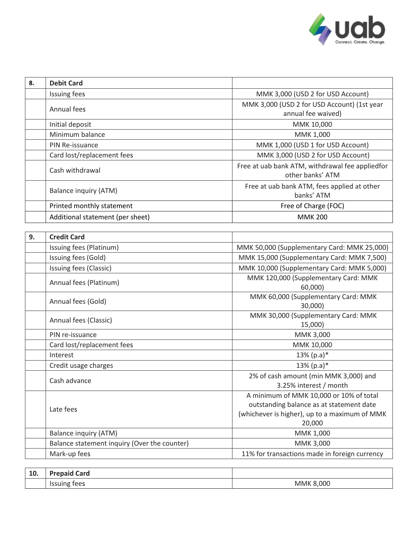

| 8. | <b>Debit Card</b>                |                                                 |
|----|----------------------------------|-------------------------------------------------|
|    | Issuing fees                     | MMK 3,000 (USD 2 for USD Account)               |
|    | Annual fees                      | MMK 3,000 (USD 2 for USD Account) (1st year     |
|    |                                  | annual fee waived)                              |
|    | Initial deposit                  | MMK 10,000                                      |
|    | Minimum balance                  | MMK 1,000                                       |
|    | PIN Re-issuance                  | MMK 1,000 (USD 1 for USD Account)               |
|    | Card lost/replacement fees       | MMK 3,000 (USD 2 for USD Account)               |
|    | Cash withdrawal                  | Free at uab bank ATM, withdrawal fee appliedfor |
|    |                                  | other banks' ATM                                |
|    | Balance inquiry (ATM)            | Free at uab bank ATM, fees applied at other     |
|    |                                  | banks' ATM                                      |
|    | Printed monthly statement        | Free of Charge (FOC)                            |
|    | Additional statement (per sheet) | <b>MMK 200</b>                                  |
|    |                                  |                                                 |
| 9. | <b>Credit Card</b>               |                                                 |

| э. | <b>Credit Card</b>                           |                                                                                                                                                |
|----|----------------------------------------------|------------------------------------------------------------------------------------------------------------------------------------------------|
|    | Issuing fees (Platinum)                      | MMK 50,000 (Supplementary Card: MMK 25,000)                                                                                                    |
|    | Issuing fees (Gold)                          | MMK 15,000 (Supplementary Card: MMK 7,500)                                                                                                     |
|    | Issuing fees (Classic)                       | MMK 10,000 (Supplementary Card: MMK 5,000)                                                                                                     |
|    | Annual fees (Platinum)                       | MMK 120,000 (Supplementary Card: MMK<br>60,000)                                                                                                |
|    | Annual fees (Gold)                           | MMK 60,000 (Supplementary Card: MMK<br>30,000)                                                                                                 |
|    | Annual fees (Classic)                        | MMK 30,000 (Supplementary Card: MMK<br>15,000)                                                                                                 |
|    | PIN re-issuance                              | MMK 3,000                                                                                                                                      |
|    | Card lost/replacement fees                   | MMK 10,000                                                                                                                                     |
|    | Interest                                     | $13\%$ (p.a)*                                                                                                                                  |
|    | Credit usage charges                         | $13\%$ (p.a)*                                                                                                                                  |
|    | Cash advance                                 | 2% of cash amount (min MMK 3,000) and<br>3.25% interest / month                                                                                |
|    | Late fees                                    | A minimum of MMK 10,000 or 10% of total<br>outstanding balance as at statement date<br>(whichever is higher), up to a maximum of MMK<br>20,000 |
|    | <b>Balance inquiry (ATM)</b>                 | MMK 1,000                                                                                                                                      |
|    | Balance statement inquiry (Over the counter) | MMK 3,000                                                                                                                                      |
|    | Mark-up fees                                 | 11% for transactions made in foreign currency                                                                                                  |
|    |                                              |                                                                                                                                                |

| $\overline{10}$<br>Tņ. | Card<br>Prepaid<br>$  -$    |              |
|------------------------|-----------------------------|--------------|
|                        | tees<br><b>Issuir</b><br>ng | 8,000<br>MMK |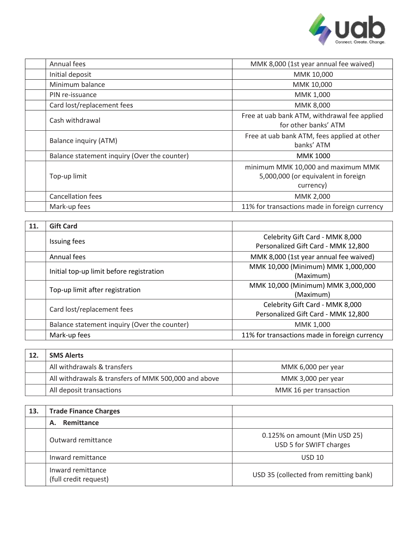

| Annual fees                |                                              | MMK 8,000 (1st year annual fee waived)                                                 |
|----------------------------|----------------------------------------------|----------------------------------------------------------------------------------------|
| Initial deposit            |                                              | MMK 10,000                                                                             |
| Minimum balance            |                                              | MMK 10,000                                                                             |
| PIN re-issuance            |                                              | MMK 1,000                                                                              |
| Card lost/replacement fees |                                              | MMK 8,000                                                                              |
| Cash withdrawal            |                                              | Free at uab bank ATM, withdrawal fee applied<br>for other banks' ATM                   |
| Balance inquiry (ATM)      |                                              | Free at uab bank ATM, fees applied at other<br>banks' ATM                              |
|                            | Balance statement inquiry (Over the counter) | <b>MMK 1000</b>                                                                        |
| Top-up limit               |                                              | minimum MMK 10,000 and maximum MMK<br>5,000,000 (or equivalent in foreign<br>currency) |
| <b>Cancellation fees</b>   |                                              | MMK 2,000                                                                              |
| Mark-up fees               |                                              | 11% for transactions made in foreign currency                                          |

| 11. | <b>Gift Card</b>                             |                                                                        |
|-----|----------------------------------------------|------------------------------------------------------------------------|
|     | <b>Issuing fees</b>                          | Celebrity Gift Card - MMK 8,000<br>Personalized Gift Card - MMK 12,800 |
|     | Annual fees                                  | MMK 8,000 (1st year annual fee waived)                                 |
|     | Initial top-up limit before registration     | MMK 10,000 (Minimum) MMK 1,000,000<br>(Maximum)                        |
|     | Top-up limit after registration              | MMK 10,000 (Minimum) MMK 3,000,000<br>(Maximum)                        |
|     | Card lost/replacement fees                   | Celebrity Gift Card - MMK 8,000<br>Personalized Gift Card - MMK 12,800 |
|     | Balance statement inquiry (Over the counter) | MMK 1,000                                                              |
|     | Mark-up fees                                 | 11% for transactions made in foreign currency                          |

| 12. | <b>SMS Alerts</b>                                    |                        |
|-----|------------------------------------------------------|------------------------|
|     | All withdrawals & transfers                          | MMK 6,000 per year     |
|     | All withdrawals & transfers of MMK 500,000 and above | MMK 3,000 per year     |
|     | All deposit transactions                             | MMK 16 per transaction |

| 13. | <b>Trade Finance Charges</b>               |                                                          |
|-----|--------------------------------------------|----------------------------------------------------------|
|     | Remittance<br>А.                           |                                                          |
|     | Outward remittance                         | 0.125% on amount (Min USD 25)<br>USD 5 for SWIFT charges |
|     | Inward remittance                          | <b>USD 10</b>                                            |
|     | Inward remittance<br>(full credit request) | USD 35 (collected from remitting bank)                   |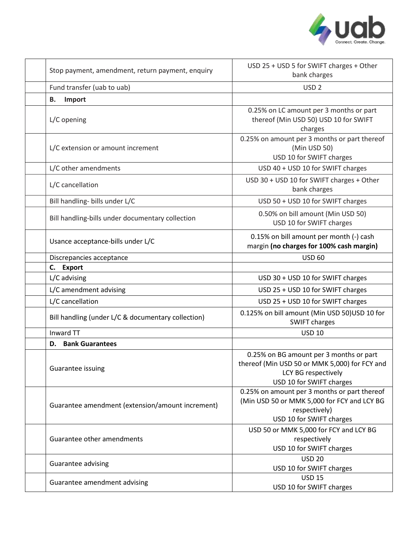

| Stop payment, amendment, return payment, enquiry   | USD 25 + USD 5 for SWIFT charges + Other<br>bank charges                                                                                    |
|----------------------------------------------------|---------------------------------------------------------------------------------------------------------------------------------------------|
| Fund transfer (uab to uab)                         | USD <sub>2</sub>                                                                                                                            |
| В.<br>Import                                       |                                                                                                                                             |
| L/C opening                                        | 0.25% on LC amount per 3 months or part<br>thereof (Min USD 50) USD 10 for SWIFT<br>charges                                                 |
| L/C extension or amount increment                  | 0.25% on amount per 3 months or part thereof<br>(Min USD 50)<br>USD 10 for SWIFT charges                                                    |
| L/C other amendments                               | USD 40 + USD 10 for SWIFT charges                                                                                                           |
| L/C cancellation                                   | USD 30 + USD 10 for SWIFT charges + Other<br>bank charges                                                                                   |
| Bill handling- bills under L/C                     | USD 50 + USD 10 for SWIFT charges                                                                                                           |
| Bill handling-bills under documentary collection   | 0.50% on bill amount (Min USD 50)<br>USD 10 for SWIFT charges                                                                               |
| Usance acceptance-bills under L/C                  | 0.15% on bill amount per month (-) cash<br>margin (no charges for 100% cash margin)                                                         |
| Discrepancies acceptance                           | <b>USD 60</b>                                                                                                                               |
| C.<br><b>Export</b>                                |                                                                                                                                             |
| L/C advising                                       | USD 30 + USD 10 for SWIFT charges                                                                                                           |
| L/C amendment advising                             | USD 25 + USD 10 for SWIFT charges                                                                                                           |
| L/C cancellation                                   | USD 25 + USD 10 for SWIFT charges                                                                                                           |
| Bill handling (under L/C & documentary collection) | 0.125% on bill amount (Min USD 50)USD 10 for<br><b>SWIFT charges</b>                                                                        |
| Inward TT                                          | <b>USD 10</b>                                                                                                                               |
| <b>D.</b> Bank Guarantees                          |                                                                                                                                             |
| Guarantee issuing                                  | 0.25% on BG amount per 3 months or part<br>thereof (Min USD 50 or MMK 5,000) for FCY and<br>LCY BG respectively<br>USD 10 for SWIFT charges |
| Guarantee amendment (extension/amount increment)   | 0.25% on amount per 3 months or part thereof<br>(Min USD 50 or MMK 5,000 for FCY and LCY BG<br>respectively)<br>USD 10 for SWIFT charges    |
| Guarantee other amendments                         | USD 50 or MMK 5,000 for FCY and LCY BG<br>respectively<br>USD 10 for SWIFT charges                                                          |
| Guarantee advising                                 | <b>USD 20</b><br>USD 10 for SWIFT charges                                                                                                   |
| Guarantee amendment advising                       | <b>USD 15</b><br>USD 10 for SWIFT charges                                                                                                   |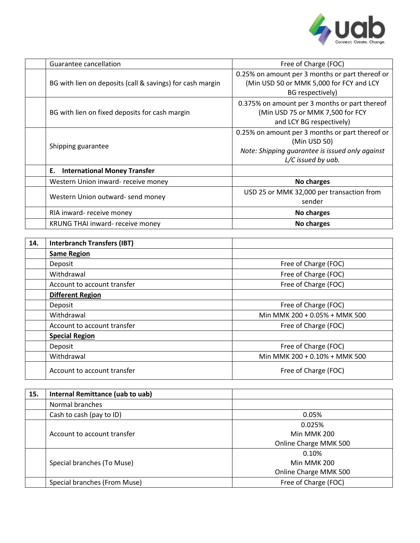

|     | Guarantee cancellation                                    | Free of Charge (FOC)                                                                                                                     |
|-----|-----------------------------------------------------------|------------------------------------------------------------------------------------------------------------------------------------------|
|     | BG with lien on deposits (call & savings) for cash margin | 0.25% on amount per 3 months or part thereof or<br>(Min USD 50 or MMK 5,000 for FCY and LCY<br>BG respectively)                          |
|     | BG with lien on fixed deposits for cash margin            | 0.375% on amount per 3 months or part thereof<br>(Min USD 75 or MMK 7,500 for FCY<br>and LCY BG respectively)                            |
|     | Shipping guarantee                                        | 0.25% on amount per 3 months or part thereof or<br>(Min USD 50)<br>Note: Shipping guarantee is issued only against<br>L/C issued by uab. |
|     | <b>International Money Transfer</b><br>Ε.                 |                                                                                                                                          |
|     | Western Union inward- receive money                       | No charges                                                                                                                               |
|     | Western Union outward- send money                         | USD 25 or MMK 32,000 per transaction from<br>sender                                                                                      |
|     | RIA inward- receive money                                 | No charges                                                                                                                               |
|     | KRUNG THAI inward- receive money                          | No charges                                                                                                                               |
|     |                                                           |                                                                                                                                          |
| 14. | <b>Interbranch Transfers (IBT)</b>                        |                                                                                                                                          |
|     | <b>Same Region</b>                                        |                                                                                                                                          |
|     | Deposit                                                   | Free of Charge (FOC)                                                                                                                     |
|     | Withdrawal                                                | Free of Charge (FOC)                                                                                                                     |
|     | Account to account transfer                               | Free of Charge (FOC)                                                                                                                     |
|     | <b>Different Region</b>                                   |                                                                                                                                          |

|         | <b>DITTEFENT REGION</b>     |                               |
|---------|-----------------------------|-------------------------------|
| Deposit |                             | Free of Charge (FOC)          |
|         | Withdrawal                  | Min MMK 200 + 0.05% + MMK 500 |
|         | Account to account transfer | Free of Charge (FOC)          |
|         | <b>Special Region</b>       |                               |
| Deposit |                             | Free of Charge (FOC)          |
|         | Withdrawal                  | Min MMK 200 + 0.10% + MMK 500 |
|         | Account to account transfer | Free of Charge (FOC)          |

| 15. | Internal Remittance (uab to uab) |                       |
|-----|----------------------------------|-----------------------|
|     | Normal branches                  |                       |
|     | Cash to cash (pay to ID)         | 0.05%                 |
|     |                                  | 0.025%                |
|     | Account to account transfer      | Min MMK 200           |
|     |                                  | Online Charge MMK 500 |
|     |                                  | 0.10%                 |
|     | Special branches (To Muse)       | Min MMK 200           |
|     |                                  | Online Charge MMK 500 |
|     | Special branches (From Muse)     | Free of Charge (FOC)  |